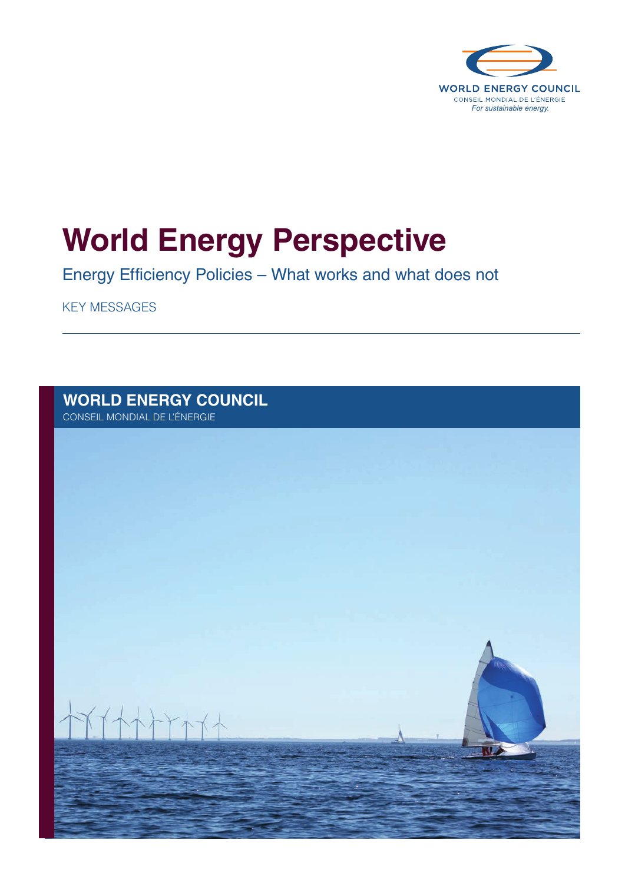

# **World Energy Perspective**

Energy Efficiency Policies – What works and what does not

KEY MESSAGES

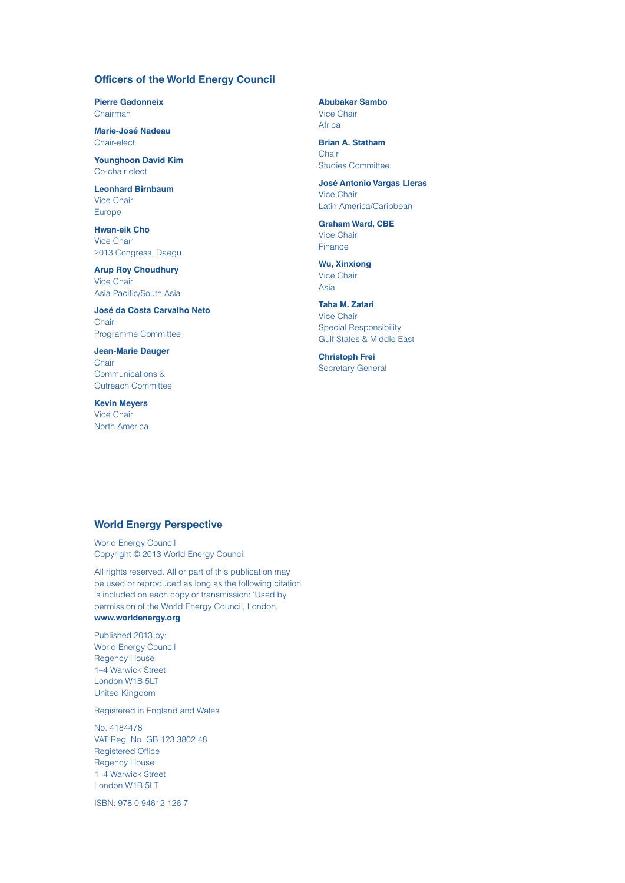### **Officers of the World Energy Council**

**Pierre Gadonneix** Chairman

**Marie-José Nadeau** Chair-elect

**Younghoon David Kim** Co-chair elect

**Leonhard Birnbaum** Vice Chair Europe

**Hwan-eik Cho** Vice Chair 2013 Congress, Daegu

**Arup Roy Choudhury** Vice Chair Asia Pacific/South Asia

**José da Costa Carvalho Neto** Chair Programme Committee

**Jean-Marie Dauger Chair** Communications & Outreach Committee

**Kevin Meyers** Vice Chair North America **Abubakar Sambo** Vice Chair Africa

**Brian A. Statham Chair** Studies Committee

**José Antonio Vargas Lleras** Vice Chair Latin America/Caribbean

**Graham Ward, CBE** Vice Chair **Finance** 

**Wu, Xinxiong** Vice Chair Asia

**Taha M. Zatari** Vice Chair Special Responsibility Gulf States & Middle East

**Christoph Frei**  Secretary General

### **World Energy Perspective**

World Energy Council Copyright © 2013 World Energy Council

All rights reserved. All or part of this publication may be used or reproduced as long as the following citation is included on each copy or transmission: 'Used by permission of the World Energy Council, London,

### **[www.worldenergy.org](http://www.worldenergy.org)**

Published 2013 by: World Energy Council Regency House 1–4 Warwick Street London W1B 5LT United Kingdom

Registered in England and Wales

No. 4184478 VAT Reg. No. GB 123 3802 48 Registered Office Regency House 1–4 Warwick Street London W1B 5LT

ISBN: 978 0 94612 126 7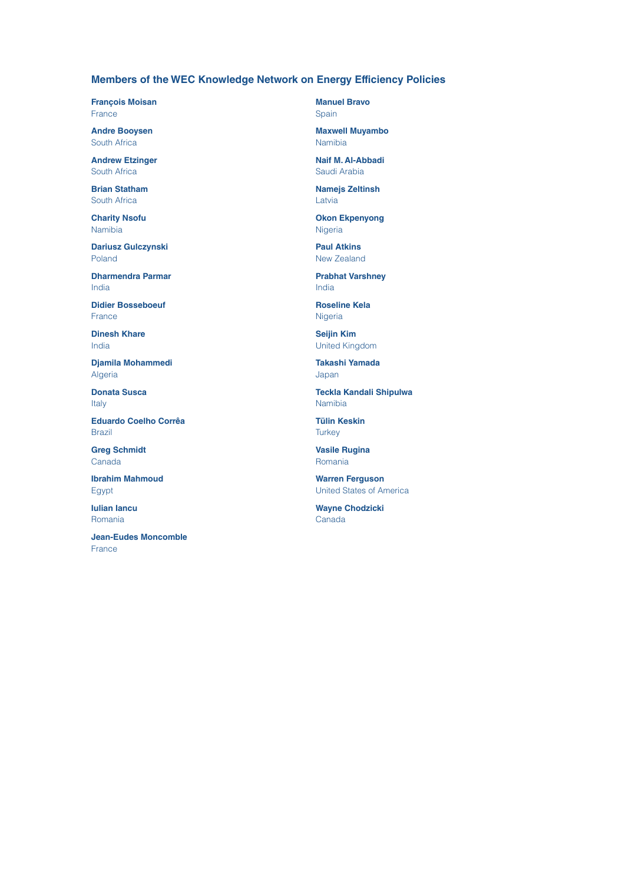### **Members of the WEC Knowledge Network on Energy Efficiency Policies**

**François Moisan France** 

**Andre Booysen** South Africa

**Andrew Etzinger** South Africa

**Brian Statham** South Africa

**Charity Nsofu** Namibia

**Dariusz Gulczynski** Poland

**Dharmendra Parmar** India

**Didier Bosseboeuf** France

**Dinesh Khare** India

**Djamila Mohammedi** Algeria

**Donata Susca** Italy

**Eduardo Coelho Corrêa** Brazil

**Greg Schmidt** Canada

**Ibrahim Mahmoud** Egypt

**Iulian Iancu** Romania

**Jean-Eudes Moncomble** France

**Manuel Bravo** Spain

**Maxwell Muyambo** Namibia

**Naif M. Al-Abbadi** Saudi Arabia

**Namejs Zeltinsh** Latvia

**Okon Ekpenyong** Nigeria

**Paul Atkins** New Zealand

**Prabhat Varshney** India

**Roseline Kela Nigeria** 

**Seijin Kim** United Kingdom

**Takashi Yamada** Japan

**Teckla Kandali Shipulwa** Namibia

**Tülin Keskin Turkey** 

**Vasile Rugina** Romania

**Warren Ferguson** United States of America

**Wayne Chodzicki** Canada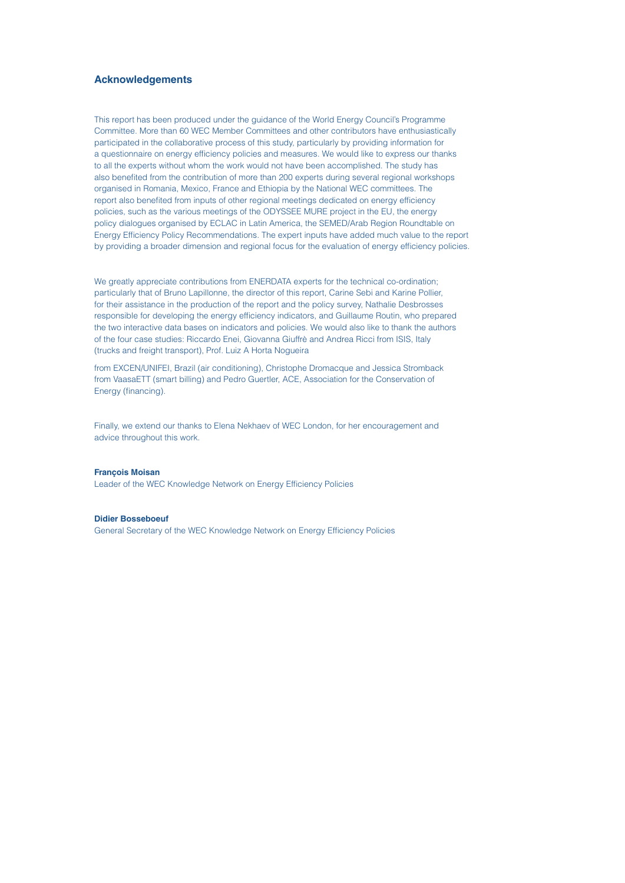### **Acknowledgements**

This report has been produced under the guidance of the World Energy Council's Programme Committee. More than 60 WEC Member Committees and other contributors have enthusiastically participated in the collaborative process of this study, particularly by providing information for a questionnaire on energy efficiency policies and measures. We would like to express our thanks to all the experts without whom the work would not have been accomplished. The study has also benefited from the contribution of more than 200 experts during several regional workshops organised in Romania, Mexico, France and Ethiopia by the National WEC committees. The report also benefited from inputs of other regional meetings dedicated on energy efficiency policies, such as the various meetings of the ODYSSEE MURE project in the EU, the energy policy dialogues organised by ECLAC in Latin America, the SEMED/Arab Region Roundtable on Energy Efficiency Policy Recommendations. The expert inputs have added much value to the report by providing a broader dimension and regional focus for the evaluation of energy efficiency policies.

We greatly appreciate contributions from ENERDATA experts for the technical co-ordination; particularly that of Bruno Lapillonne, the director of this report, Carine Sebi and Karine Pollier, for their assistance in the production of the report and the policy survey, Nathalie Desbrosses responsible for developing the energy efficiency indicators, and Guillaume Routin, who prepared the two interactive data bases on indicators and policies. We would also like to thank the authors of the four case studies: Riccardo Enei, Giovanna Giuffrè and Andrea Ricci from ISIS, Italy (trucks and freight transport), Prof. Luiz A Horta Nogueira

from EXCEN/UNIFEI, Brazil (air conditioning), Christophe Dromacque and Jessica Stromback from VaasaETT (smart billing) and Pedro Guertler, ACE, Association for the Conservation of Energy (financing).

Finally, we extend our thanks to Elena Nekhaev of WEC London, for her encouragement and advice throughout this work.

### **François Moisan**

Leader of the WEC Knowledge Network on Energy Efficiency Policies

### **Didier Bosseboeuf**

General Secretary of the WEC Knowledge Network on Energy Efficiency Policies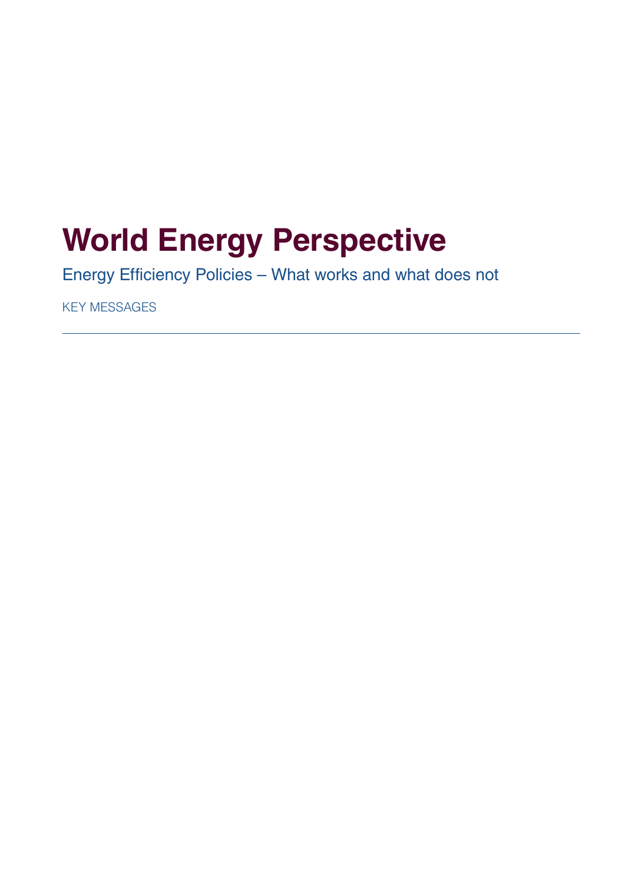# **World Energy Perspective**

Energy Efficiency Policies – What works and what does not

KEY MESSAGES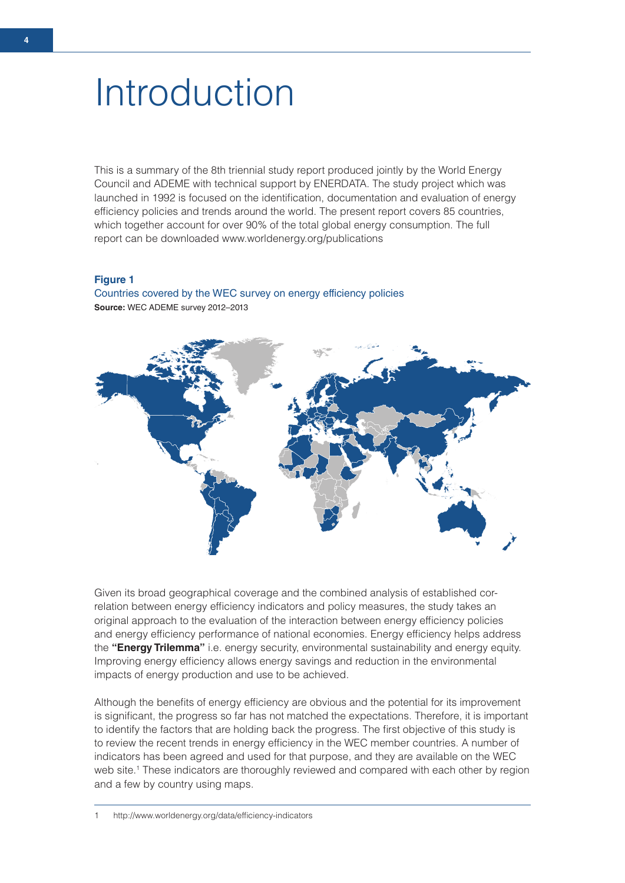# Introduction

This is a summary of the 8th triennial study report produced jointly by the World Energy Council and ADEME with technical support by ENERDATA. The study project which was launched in 1992 is focused on the identification, documentation and evaluation of energy efficiency policies and trends around the world. The present report covers 85 countries, which together account for over 90% of the total global energy consumption. The full report can be downloaded www.worldenergy.org/publications

### **Figure 1**

Countries covered by the WEC survey on energy efficiency policies **Source:** WEC ADEME survey 2012–2013



Given its broad geographical coverage and the combined analysis of established correlation between energy efficiency indicators and policy measures, the study takes an original approach to the evaluation of the interaction between energy efficiency policies and energy efficiency performance of national economies. Energy efficiency helps address the **"Energy Trilemma"** i.e. energy security, environmental sustainability and energy equity. Improving energy efficiency allows energy savings and reduction in the environmental impacts of energy production and use to be achieved.

Although the benefits of energy efficiency are obvious and the potential for its improvement is significant, the progress so far has not matched the expectations. Therefore, it is important to identify the factors that are holding back the progress. The first objective of this study is to review the recent trends in energy efficiency in the WEC member countries. A number of indicators has been agreed and used for that purpose, and they are available on the WEC web site.<sup>1</sup> These indicators are thoroughly reviewed and compared with each other by region and a few by country using maps.

**4**

<sup>1</sup> http://www.worldenergy.org/data/efficiency-indicators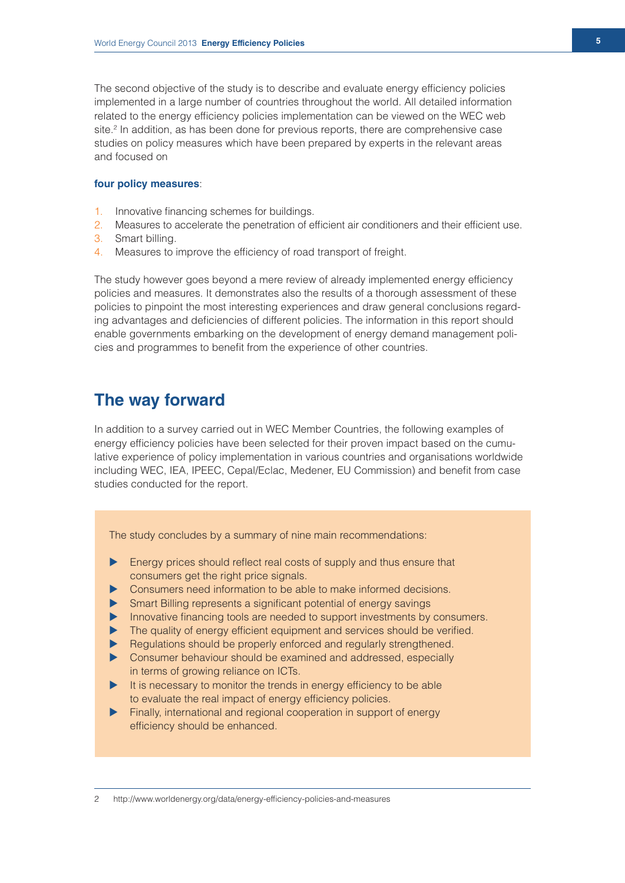The second objective of the study is to describe and evaluate energy efficiency policies implemented in a large number of countries throughout the world. All detailed information related to the energy efficiency policies implementation can be viewed on the WEC web site.<sup>2</sup> In addition, as has been done for previous reports, there are comprehensive case studies on policy measures which have been prepared by experts in the relevant areas and focused on

### **four policy measures**:

- 1. Innovative financing schemes for buildings.
- 2. Measures to accelerate the penetration of efficient air conditioners and their efficient use.
- 3. Smart billing.
- 4. Measures to improve the efficiency of road transport of freight.

The study however goes beyond a mere review of already implemented energy efficiency policies and measures. It demonstrates also the results of a thorough assessment of these policies to pinpoint the most interesting experiences and draw general conclusions regarding advantages and deficiencies of different policies. The information in this report should enable governments embarking on the development of energy demand management policies and programmes to benefit from the experience of other countries.

# **The way forward**

In addition to a survey carried out in WEC Member Countries, the following examples of energy efficiency policies have been selected for their proven impact based on the cumulative experience of policy implementation in various countries and organisations worldwide including WEC, IEA, IPEEC, Cepal/Eclac, Medener, EU Commission) and benefit from case studies conducted for the report.

The study concludes by a summary of nine main recommendations:

- $\blacktriangleright$  Energy prices should reflect real costs of supply and thus ensure that consumers get the right price signals.
- Consumers need information to be able to make informed decisions.
- $\triangleright$  Smart Billing represents a significant potential of energy savings
- Innovative financing tools are needed to support investments by consumers.
- $\blacktriangleright$  The quality of energy efficient equipment and services should be verified.
- $\blacktriangleright$  Regulations should be properly enforced and regularly strengthened.
- $\triangleright$  Consumer behaviour should be examined and addressed, especially in terms of growing reliance on ICTs.
- $\blacktriangleright$  It is necessary to monitor the trends in energy efficiency to be able to evaluate the real impact of energy efficiency policies.
- Finally, international and regional cooperation in support of energy efficiency should be enhanced.

2 http://www.worldenergy.org/data/energy-efficiency-policies-and-measures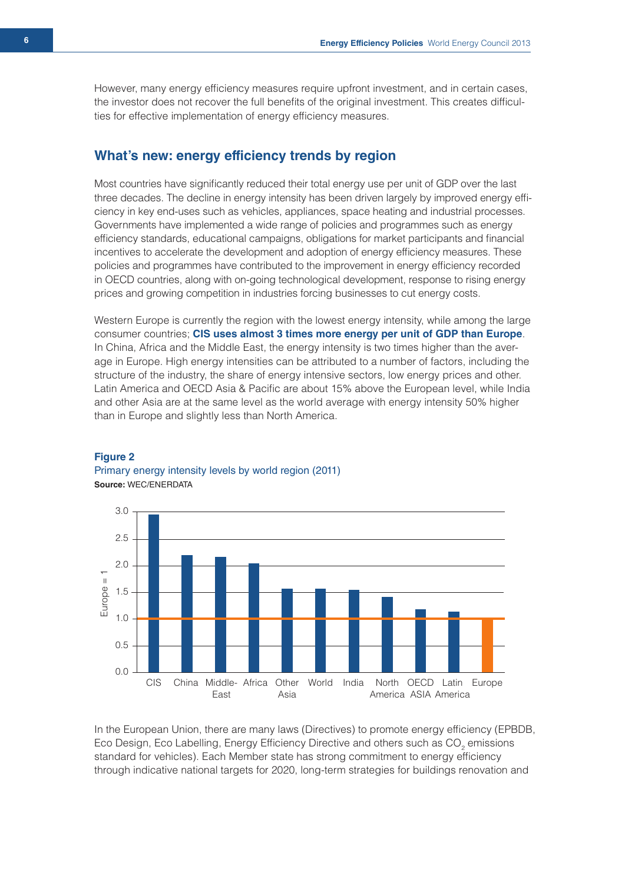However, many energy efficiency measures require upfront investment, and in certain cases, the investor does not recover the full benefits of the original investment. This creates difficulties for effective implementation of energy efficiency measures.

## **What's new: energy efficiency trends by region**

Most countries have significantly reduced their total energy use per unit of GDP over the last three decades. The decline in energy intensity has been driven largely by improved energy efficiency in key end-uses such as vehicles, appliances, space heating and industrial processes. Governments have implemented a wide range of policies and programmes such as energy efficiency standards, educational campaigns, obligations for market participants and financial incentives to accelerate the development and adoption of energy efficiency measures. These policies and programmes have contributed to the improvement in energy efficiency recorded in OECD countries, along with on-going technological development, response to rising energy prices and growing competition in industries forcing businesses to cut energy costs.

Western Europe is currently the region with the lowest energy intensity, while among the large consumer countries; **CIS uses almost 3 times more energy per unit of GDP than Europe**. In China, Africa and the Middle East, the energy intensity is two times higher than the average in Europe. High energy intensities can be attributed to a number of factors, including the structure of the industry, the share of energy intensive sectors, low energy prices and other. Latin America and OECD Asia & Pacific are about 15% above the European level, while India and other Asia are at the same level as the world average with energy intensity 50% higher than in Europe and slightly less than North America.



### **Figure 2**  Primary energy intensity levels by world region (2011) **Source:** WEC/ENERDATA

In the European Union, there are many laws (Directives) to promote energy efficiency (EPBDB, Eco Design, Eco Labelling, Energy Efficiency Directive and others such as  $\mathsf{CO}_2$  emissions standard for vehicles). Each Member state has strong commitment to energy efficiency through indicative national targets for 2020, long-term strategies for buildings renovation and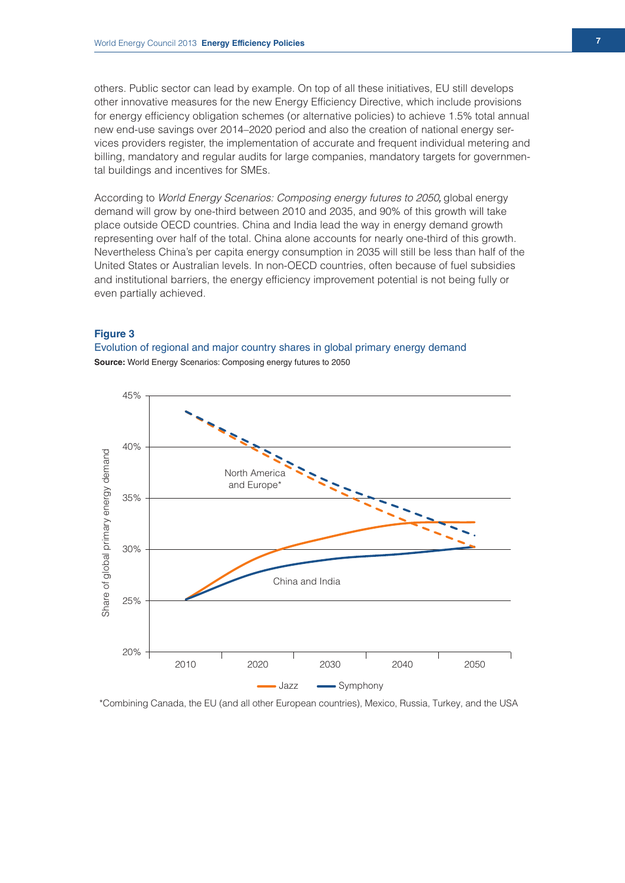others. Public sector can lead by example. On top of all these initiatives, EU still develops other innovative measures for the new Energy Efficiency Directive, which include provisions for energy efficiency obligation schemes (or alternative policies) to achieve 1.5% total annual new end-use savings over 2014–2020 period and also the creation of national energy services providers register, the implementation of accurate and frequent individual metering and billing, mandatory and regular audits for large companies, mandatory targets for governmental buildings and incentives for SMEs.

According to *World Energy Scenarios: Composing energy futures to 2050,* global energy demand will grow by one-third between 2010 and 2035, and 90% of this growth will take place outside OECD countries. China and India lead the way in energy demand growth representing over half of the total. China alone accounts for nearly one-third of this growth. Nevertheless China's per capita energy consumption in 2035 will still be less than half of the United States or Australian levels. In non-OECD countries, often because of fuel subsidies and institutional barriers, the energy efficiency improvement potential is not being fully or even partially achieved.

### **Figure 3**

Evolution of regional and major country shares in global primary energy demand **Source:** World Energy Scenarios: Composing energy futures to 2050



\*Combining Canada, the EU (and all other European countries), Mexico, Russia, Turkey, and the USA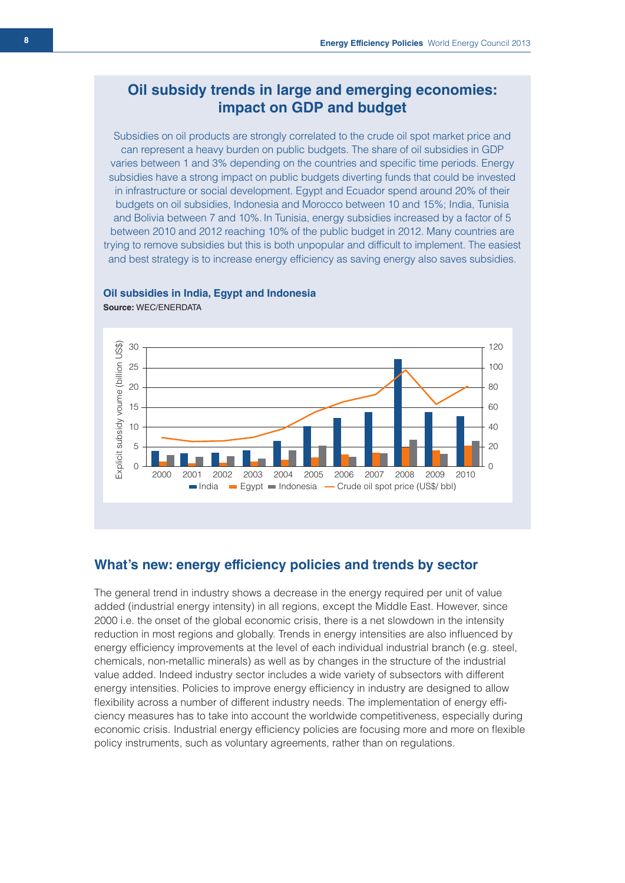# **Oil subsidy trends in large and emerging economies: impact on GDP and budget**

Subsidies on oil products are strongly correlated to the crude oil spot market price and can represent a heavy burden on public budgets. The share of oil subsidies in GDP varies between 1 and 3% depending on the countries and specific time periods. Energy subsidies have a strong impact on public budgets diverting funds that could be invested in infrastructure or social development. Egypt and Ecuador spend around 20% of their budgets on oil subsidies, Indonesia and Morocco between 10 and 15%; India, Tunisia and Bolivia between 7 and 10%. In Tunisia, energy subsidies increased by a factor of 5 between 2010 and 2012 reaching 10% of the public budget in 2012. Many countries are trying to remove subsidies but this is both unpopular and difficult to implement. The easiest and best strategy is to increase energy efficiency as saving energy also saves subsidies.



### **Oil subsidies in India, Egypt and Indonesia**

**Source:** WEC/ENERDATA

# **What's new: energy efficiency policies and trends by sector**

The general trend in industry shows a decrease in the energy required per unit of value added (industrial energy intensity) in all regions, except the Middle East. However, since 2000 i.e. the onset of the global economic crisis, there is a net slowdown in the intensity reduction in most regions and globally. Trends in energy intensities are also influenced by energy efficiency improvements at the level of each individual industrial branch (e.g. steel, chemicals, non-metallic minerals) as well as by changes in the structure of the industrial value added. Indeed industry sector includes a wide variety of subsectors with different energy intensities. Policies to improve energy efficiency in industry are designed to allow flexibility across a number of different industry needs. The implementation of energy efficiency measures has to take into account the worldwide competitiveness, especially during economic crisis. Industrial energy efficiency policies are focusing more and more on flexible policy instruments, such as voluntary agreements, rather than on regulations.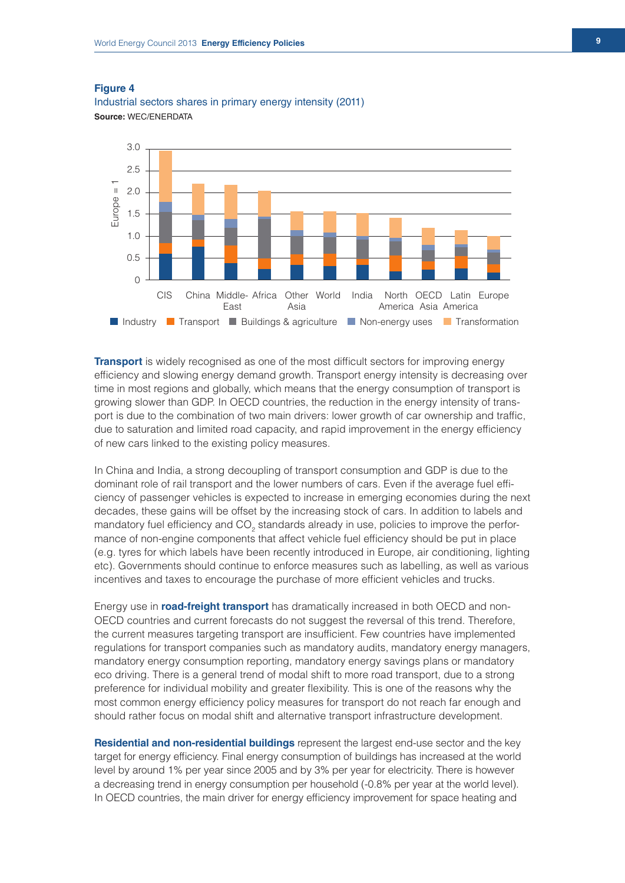3.0 2.5  $\overline{1}$ Europe = 1 2.0 =urope = 1.5 1.0 0.5  $\Omega$ Other CIS China Middle- Africa World India North OECD Latin Europe East Asia America Asia America **Industry In Transport Buildings & agriculture In Non-energy uses In Transformation** 

Industrial sectors shares in primary energy intensity (2011) **Source:** WEC/ENERDATA

**Transport** is widely recognised as one of the most difficult sectors for improving energy efficiency and slowing energy demand growth. Transport energy intensity is decreasing over time in most regions and globally, which means that the energy consumption of transport is growing slower than GDP. In OECD countries, the reduction in the energy intensity of transport is due to the combination of two main drivers: lower growth of car ownership and traffic, due to saturation and limited road capacity, and rapid improvement in the energy efficiency of new cars linked to the existing policy measures.

In China and India, a strong decoupling of transport consumption and GDP is due to the dominant role of rail transport and the lower numbers of cars. Even if the average fuel efficiency of passenger vehicles is expected to increase in emerging economies during the next decades, these gains will be offset by the increasing stock of cars. In addition to labels and mandatory fuel efficiency and CO<sub>2</sub> standards already in use, policies to improve the performance of non-engine components that affect vehicle fuel efficiency should be put in place (e.g. tyres for which labels have been recently introduced in Europe, air conditioning, lighting etc). Governments should continue to enforce measures such as labelling, as well as various incentives and taxes to encourage the purchase of more efficient vehicles and trucks.

Energy use in **road-freight transport** has dramatically increased in both OECD and non-OECD countries and current forecasts do not suggest the reversal of this trend. Therefore, the current measures targeting transport are insufficient. Few countries have implemented regulations for transport companies such as mandatory audits, mandatory energy managers, mandatory energy consumption reporting, mandatory energy savings plans or mandatory eco driving. There is a general trend of modal shift to more road transport, due to a strong preference for individual mobility and greater flexibility. This is one of the reasons why the most common energy efficiency policy measures for transport do not reach far enough and should rather focus on modal shift and alternative transport infrastructure development.

**Residential and non-residential buildings** represent the largest end-use sector and the key target for energy efficiency. Final energy consumption of buildings has increased at the world level by around 1% per year since 2005 and by 3% per year for electricity. There is however a decreasing trend in energy consumption per household (-0.8% per year at the world level). In OECD countries, the main driver for energy efficiency improvement for space heating and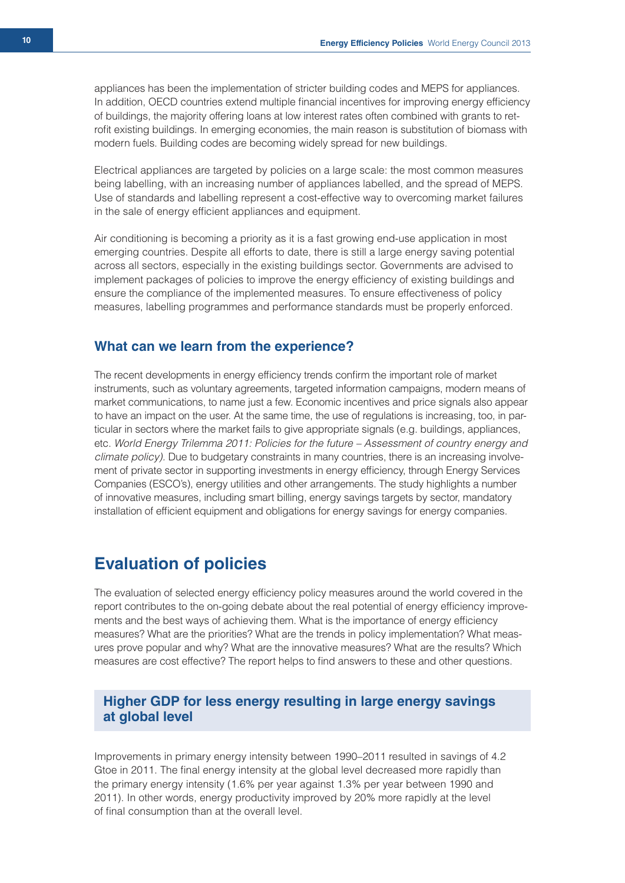appliances has been the implementation of stricter building codes and MEPS for appliances. In addition, OECD countries extend multiple financial incentives for improving energy efficiency of buildings, the majority offering loans at low interest rates often combined with grants to retrofit existing buildings. In emerging economies, the main reason is substitution of biomass with modern fuels. Building codes are becoming widely spread for new buildings.

Electrical appliances are targeted by policies on a large scale: the most common measures being labelling, with an increasing number of appliances labelled, and the spread of MEPS. Use of standards and labelling represent a cost-effective way to overcoming market failures in the sale of energy efficient appliances and equipment.

Air conditioning is becoming a priority as it is a fast growing end-use application in most emerging countries. Despite all efforts to date, there is still a large energy saving potential across all sectors, especially in the existing buildings sector. Governments are advised to implement packages of policies to improve the energy efficiency of existing buildings and ensure the compliance of the implemented measures. To ensure effectiveness of policy measures, labelling programmes and performance standards must be properly enforced.

### **What can we learn from the experience?**

The recent developments in energy efficiency trends confirm the important role of market instruments, such as voluntary agreements, targeted information campaigns, modern means of market communications, to name just a few. Economic incentives and price signals also appear to have an impact on the user. At the same time, the use of regulations is increasing, too, in particular in sectors where the market fails to give appropriate signals (e.g. buildings, appliances, etc. *World Energy Trilemma 2011: Policies for the future – Assessment of country energy and climate policy).* Due to budgetary constraints in many countries, there is an increasing involvement of private sector in supporting investments in energy efficiency, through Energy Services Companies (ESCO's), energy utilities and other arrangements. The study highlights a number of innovative measures, including smart billing, energy savings targets by sector, mandatory installation of efficient equipment and obligations for energy savings for energy companies.

# **Evaluation of policies**

The evaluation of selected energy efficiency policy measures around the world covered in the report contributes to the on-going debate about the real potential of energy efficiency improvements and the best ways of achieving them. What is the importance of energy efficiency measures? What are the priorities? What are the trends in policy implementation? What measures prove popular and why? What are the innovative measures? What are the results? Which measures are cost effective? The report helps to find answers to these and other questions.

# **Higher GDP for less energy resulting in large energy savings at global level**

Improvements in primary energy intensity between 1990–2011 resulted in savings of 4.2 Gtoe in 2011. The final energy intensity at the global level decreased more rapidly than the primary energy intensity (1.6% per year against 1.3% per year between 1990 and 2011). In other words, energy productivity improved by 20% more rapidly at the level of final consumption than at the overall level.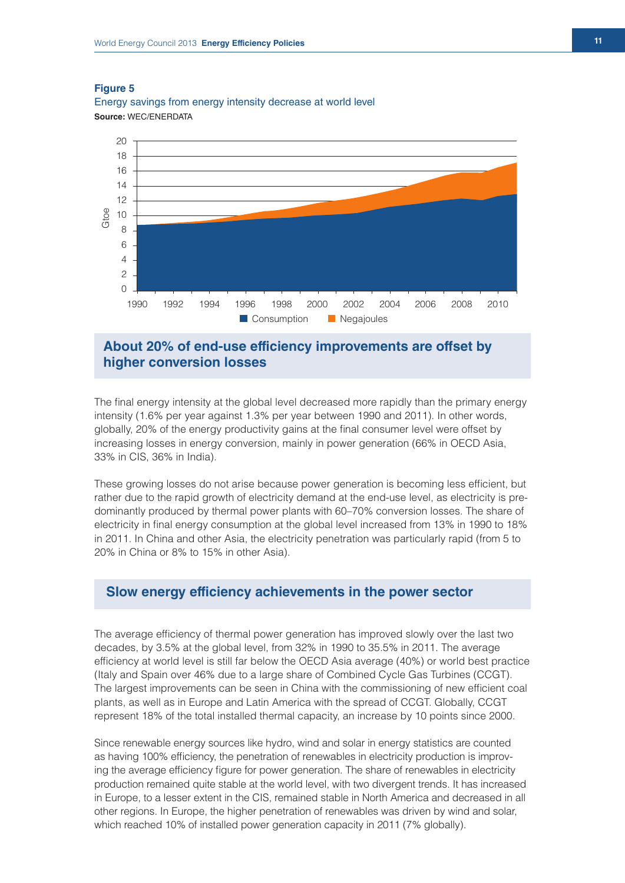

Energy savings from energy intensity decrease at world level **Source:** WEC/ENERDATA

# **About 20% of end-use efficiency improvements are offset by higher conversion losses**

The final energy intensity at the global level decreased more rapidly than the primary energy intensity (1.6% per year against 1.3% per year between 1990 and 2011). In other words, globally, 20% of the energy productivity gains at the final consumer level were offset by increasing losses in energy conversion, mainly in power generation (66% in OECD Asia, 33% in CIS, 36% in India).

These growing losses do not arise because power generation is becoming less efficient, but rather due to the rapid growth of electricity demand at the end-use level, as electricity is predominantly produced by thermal power plants with 60–70% conversion losses. The share of electricity in final energy consumption at the global level increased from 13% in 1990 to 18% in 2011. In China and other Asia, the electricity penetration was particularly rapid (from 5 to 20% in China or 8% to 15% in other Asia).

# **Slow energy efficiency achievements in the power sector**

The average efficiency of thermal power generation has improved slowly over the last two decades, by 3.5% at the global level, from 32% in 1990 to 35.5% in 2011. The average efficiency at world level is still far below the OECD Asia average (40%) or world best practice (Italy and Spain over 46% due to a large share of Combined Cycle Gas Turbines (CCGT). The largest improvements can be seen in China with the commissioning of new efficient coal plants, as well as in Europe and Latin America with the spread of CCGT. Globally, CCGT represent 18% of the total installed thermal capacity, an increase by 10 points since 2000.

Since renewable energy sources like hydro, wind and solar in energy statistics are counted as having 100% efficiency, the penetration of renewables in electricity production is improving the average efficiency figure for power generation. The share of renewables in electricity production remained quite stable at the world level, with two divergent trends. It has increased in Europe, to a lesser extent in the CIS, remained stable in North America and decreased in all other regions. In Europe, the higher penetration of renewables was driven by wind and solar, which reached 10% of installed power generation capacity in 2011 (7% globally).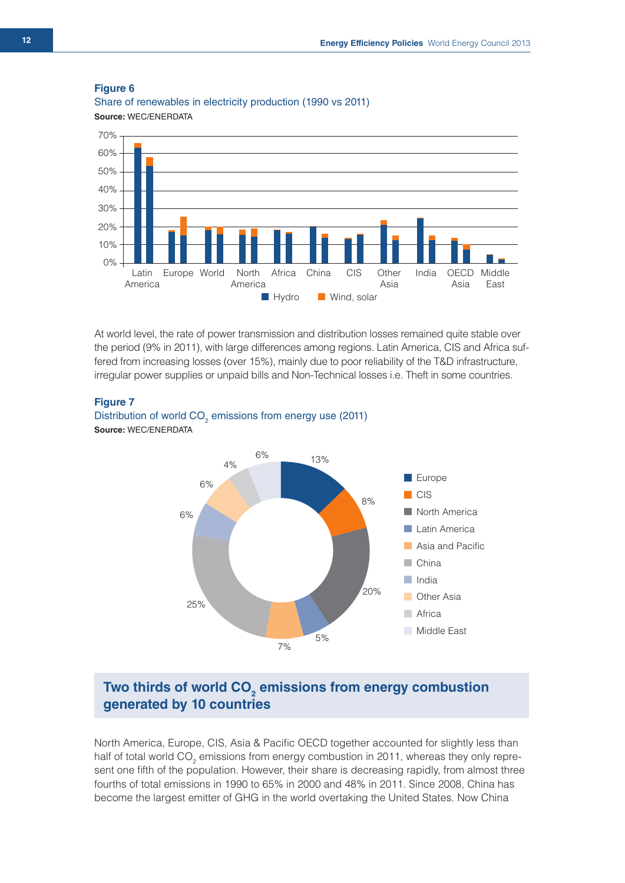Share of renewables in electricity production (1990 vs 2011) **Source:** WEC/ENERDATA



At world level, the rate of power transmission and distribution losses remained quite stable over the period (9% in 2011), with large differences among regions. Latin America, CIS and Africa suffered from increasing losses (over 15%), mainly due to poor reliability of the T&D infrastructure, irregular power supplies or unpaid bills and Non-Technical losses i.e. Theft in some countries.

### **Figure 7**





# Two thirds of world CO<sub>2</sub> emissions from energy combustion **generated by 10 countries**

North America, Europe, CIS, Asia & Pacific OECD together accounted for slightly less than half of total world CO<sub>2</sub> emissions from energy combustion in 2011, whereas they only represent one fifth of the population. However, their share is decreasing rapidly, from almost three fourths of total emissions in 1990 to 65% in 2000 and 48% in 2011. Since 2008, China has become the largest emitter of GHG in the world overtaking the United States. Now China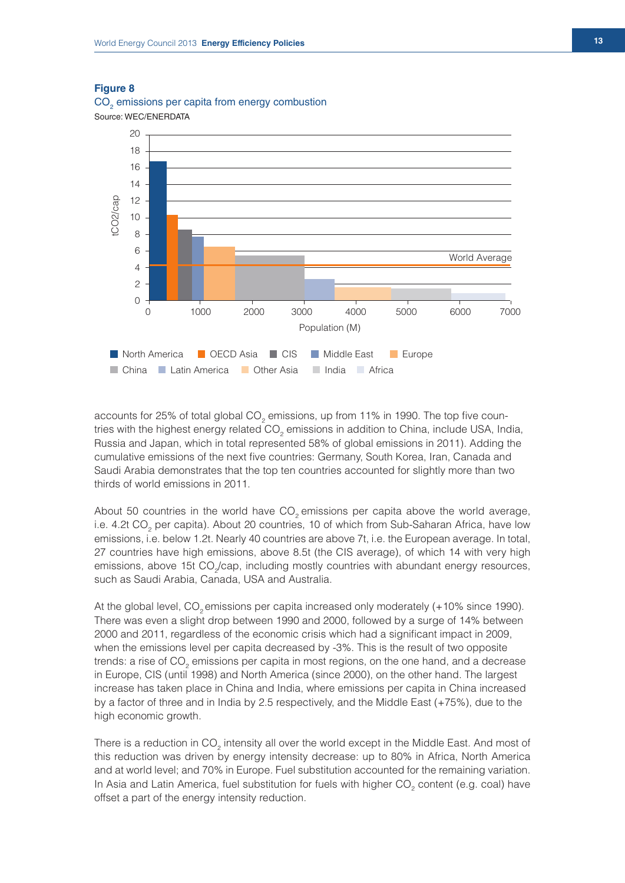



accounts for 25% of total global CO<sub>2</sub> emissions, up from 11% in 1990. The top five countries with the highest energy related CO<sub>2</sub> emissions in addition to China, include USA, India, Russia and Japan, which in total represented 58% of global emissions in 2011). Adding the cumulative emissions of the next five countries: Germany, South Korea, Iran, Canada and Saudi Arabia demonstrates that the top ten countries accounted for slightly more than two thirds of world emissions in 2011.

About 50 countries in the world have  $CO<sub>2</sub>$  emissions per capita above the world average, i.e. 4.2t CO<sub>2</sub> per capita). About 20 countries, 10 of which from Sub-Saharan Africa, have low emissions, i.e. below 1.2t. Nearly 40 countries are above 7t, i.e. the European average. In total, 27 countries have high emissions, above 8.5t (the CIS average), of which 14 with very high emissions, above 15t CO<sub>2</sub>/cap, including mostly countries with abundant energy resources, such as Saudi Arabia, Canada, USA and Australia.

At the global level, CO<sub>2</sub> emissions per capita increased only moderately (+10% since 1990). There was even a slight drop between 1990 and 2000, followed by a surge of 14% between 2000 and 2011, regardless of the economic crisis which had a significant impact in 2009, when the emissions level per capita decreased by -3%. This is the result of two opposite trends: a rise of CO<sub>2</sub> emissions per capita in most regions, on the one hand, and a decrease in Europe, CIS (until 1998) and North America (since 2000), on the other hand. The largest increase has taken place in China and India, where emissions per capita in China increased by a factor of three and in India by 2.5 respectively, and the Middle East (+75%), due to the high economic growth.

There is a reduction in CO<sub>2</sub> intensity all over the world except in the Middle East. And most of this reduction was driven by energy intensity decrease: up to 80% in Africa, North America and at world level; and 70% in Europe. Fuel substitution accounted for the remaining variation. In Asia and Latin America, fuel substitution for fuels with higher  $\mathrm{CO}_2$  content (e.g. coal) have offset a part of the energy intensity reduction.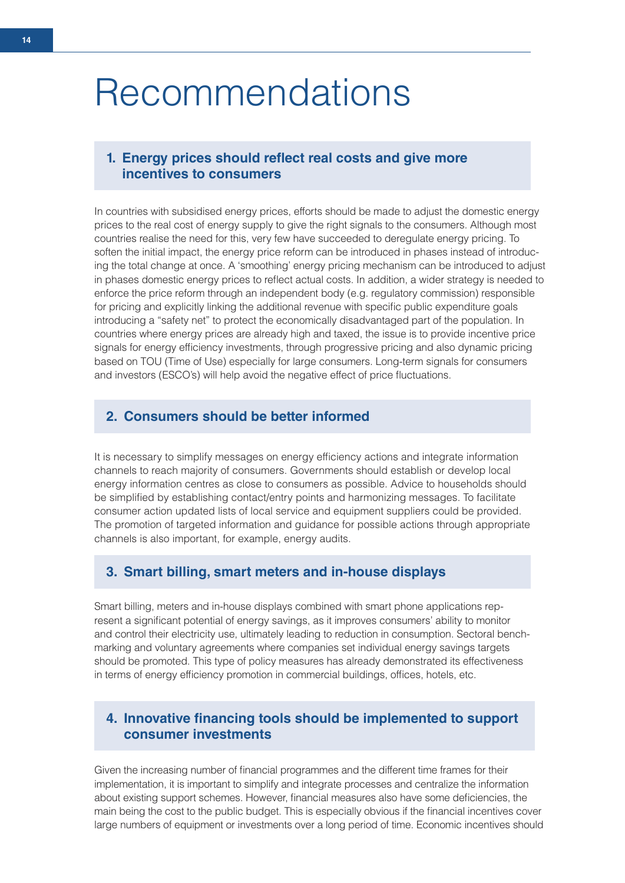# Recommendations

# 1. Energy prices should reflect real costs and give more **incentives to consumers**

In countries with subsidised energy prices, efforts should be made to adjust the domestic energy prices to the real cost of energy supply to give the right signals to the consumers. Although most countries realise the need for this, very few have succeeded to deregulate energy pricing. To soften the initial impact, the energy price reform can be introduced in phases instead of introducing the total change at once. A 'smoothing' energy pricing mechanism can be introduced to adjust in phases domestic energy prices to reflect actual costs. In addition, a wider strategy is needed to enforce the price reform through an independent body (e.g. regulatory commission) responsible for pricing and explicitly linking the additional revenue with specific public expenditure goals introducing a "safety net" to protect the economically disadvantaged part of the population. In countries where energy prices are already high and taxed, the issue is to provide incentive price signals for energy efficiency investments, through progressive pricing and also dynamic pricing based on TOU (Time of Use) especially for large consumers. Long-term signals for consumers and investors (ESCO's) will help avoid the negative effect of price fluctuations.

# **2. Consumers should be better informed**

It is necessary to simplify messages on energy efficiency actions and integrate information channels to reach majority of consumers. Governments should establish or develop local energy information centres as close to consumers as possible. Advice to households should be simplified by establishing contact/entry points and harmonizing messages. To facilitate consumer action updated lists of local service and equipment suppliers could be provided. The promotion of targeted information and guidance for possible actions through appropriate channels is also important, for example, energy audits.

## **3. Smart billing, smart meters and in-house displays**

Smart billing, meters and in-house displays combined with smart phone applications represent a significant potential of energy savings, as it improves consumers' ability to monitor and control their electricity use, ultimately leading to reduction in consumption. Sectoral benchmarking and voluntary agreements where companies set individual energy savings targets should be promoted. This type of policy measures has already demonstrated its effectiveness in terms of energy efficiency promotion in commercial buildings, offices, hotels, etc.

# **4. Innovative financing tools should be implemented to support consumer investments**

Given the increasing number of financial programmes and the different time frames for their implementation, it is important to simplify and integrate processes and centralize the information about existing support schemes. However, financial measures also have some deficiencies, the main being the cost to the public budget. This is especially obvious if the financial incentives cover large numbers of equipment or investments over a long period of time. Economic incentives should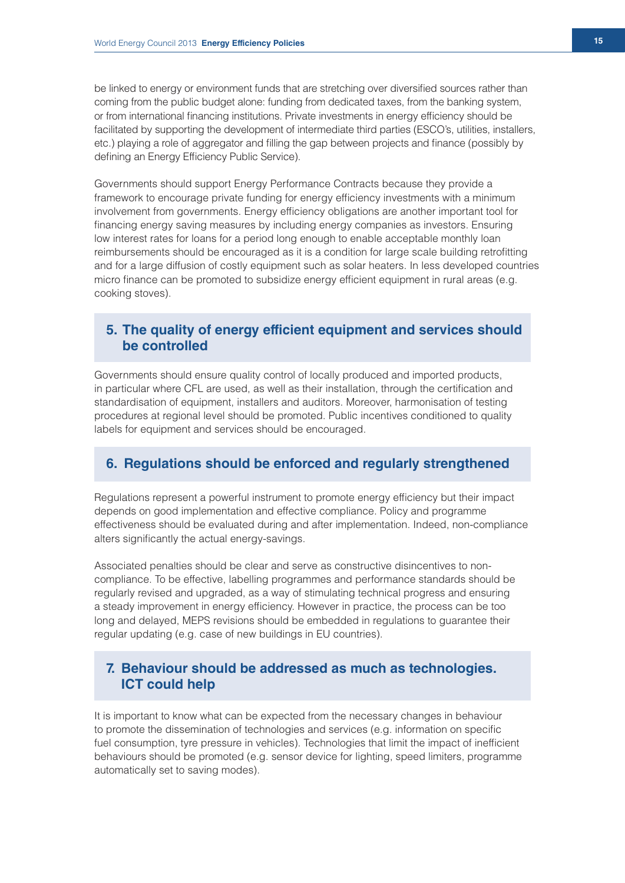be linked to energy or environment funds that are stretching over diversified sources rather than coming from the public budget alone: funding from dedicated taxes, from the banking system, or from international financing institutions. Private investments in energy efficiency should be facilitated by supporting the development of intermediate third parties (ESCO's, utilities, installers, etc.) playing a role of aggregator and filling the gap between projects and finance (possibly by defining an Energy Efficiency Public Service).

Governments should support Energy Performance Contracts because they provide a framework to encourage private funding for energy efficiency investments with a minimum involvement from governments. Energy efficiency obligations are another important tool for financing energy saving measures by including energy companies as investors. Ensuring low interest rates for loans for a period long enough to enable acceptable monthly loan reimbursements should be encouraged as it is a condition for large scale building retrofitting and for a large diffusion of costly equipment such as solar heaters. In less developed countries micro finance can be promoted to subsidize energy efficient equipment in rural areas (e.g. cooking stoves).

# **5. The quality of energy efficient equipment and services should be controlled**

Governments should ensure quality control of locally produced and imported products, in particular where CFL are used, as well as their installation, through the certification and standardisation of equipment, installers and auditors. Moreover, harmonisation of testing procedures at regional level should be promoted. Public incentives conditioned to quality labels for equipment and services should be encouraged.

# **6. Regulations should be enforced and regularly strengthened**

Regulations represent a powerful instrument to promote energy efficiency but their impact depends on good implementation and effective compliance. Policy and programme effectiveness should be evaluated during and after implementation. Indeed, non-compliance alters significantly the actual energy-savings.

Associated penalties should be clear and serve as constructive disincentives to noncompliance. To be effective, labelling programmes and performance standards should be regularly revised and upgraded, as a way of stimulating technical progress and ensuring a steady improvement in energy efficiency. However in practice, the process can be too long and delayed, MEPS revisions should be embedded in regulations to guarantee their regular updating (e.g. case of new buildings in EU countries).

# **7. Behaviour should be addressed as much as technologies. ICT could help**

It is important to know what can be expected from the necessary changes in behaviour to promote the dissemination of technologies and services (e.g. information on specific fuel consumption, tyre pressure in vehicles). Technologies that limit the impact of inefficient behaviours should be promoted (e.g. sensor device for lighting, speed limiters, programme automatically set to saving modes).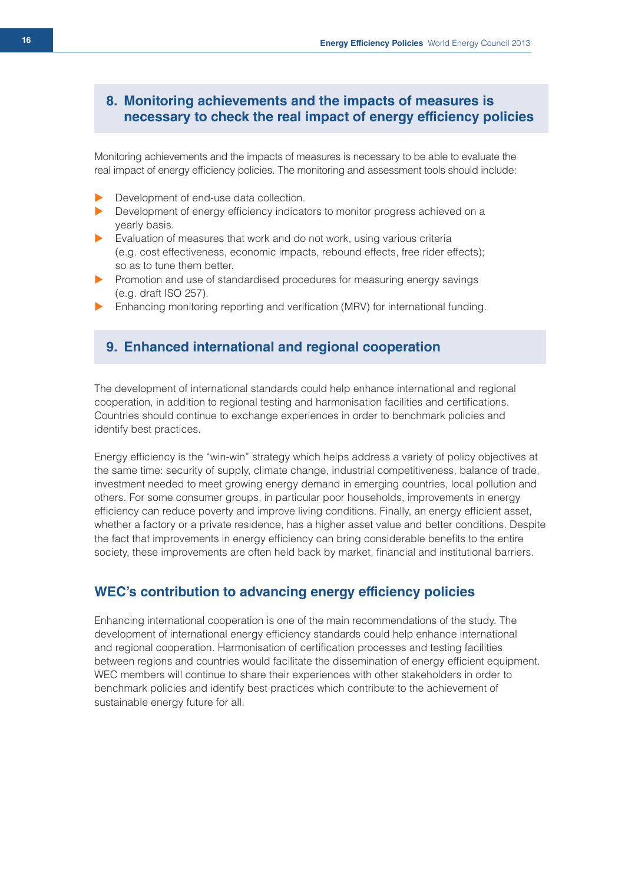# **8. Monitoring achievements and the impacts of measures is necessary to check the real impact of energy efficiency policies**

Monitoring achievements and the impacts of measures is necessary to be able to evaluate the real impact of energy efficiency policies. The monitoring and assessment tools should include:

- $\blacktriangleright$  Development of end-use data collection.
- $\blacktriangleright$  Development of energy efficiency indicators to monitor progress achieved on a yearly basis.
- Evaluation of measures that work and do not work, using various criteria (e.g. cost effectiveness, economic impacts, rebound effects, free rider effects); so as to tune them better.
- **EXECUTE:** Promotion and use of standardised procedures for measuring energy savings (e.g. draft ISO 257).
- $\blacktriangleright$  Enhancing monitoring reporting and verification (MRV) for international funding.

## **9. Enhanced international and regional cooperation**

The development of international standards could help enhance international and regional cooperation, in addition to regional testing and harmonisation facilities and certifications. Countries should continue to exchange experiences in order to benchmark policies and identify best practices.

Energy efficiency is the "win-win" strategy which helps address a variety of policy objectives at the same time: security of supply, climate change, industrial competitiveness, balance of trade, investment needed to meet growing energy demand in emerging countries, local pollution and others. For some consumer groups, in particular poor households, improvements in energy efficiency can reduce poverty and improve living conditions. Finally, an energy efficient asset, whether a factory or a private residence, has a higher asset value and better conditions. Despite the fact that improvements in energy efficiency can bring considerable benefits to the entire society, these improvements are often held back by market, financial and institutional barriers.

# **WEC's contribution to advancing energy efficiency policies**

Enhancing international cooperation is one of the main recommendations of the study. The development of international energy efficiency standards could help enhance international and regional cooperation. Harmonisation of certification processes and testing facilities between regions and countries would facilitate the dissemination of energy efficient equipment. WEC members will continue to share their experiences with other stakeholders in order to benchmark policies and identify best practices which contribute to the achievement of sustainable energy future for all.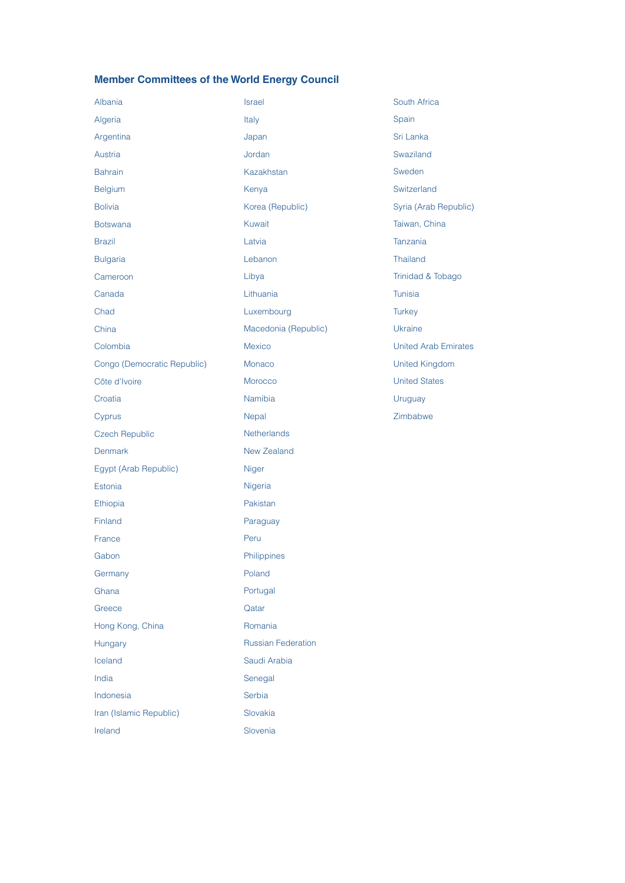# **Member Committees of the World Energy Council**

| Albania                     | Israel                    | South Africa                |
|-----------------------------|---------------------------|-----------------------------|
| Algeria                     | Italy                     | Spain                       |
| Argentina                   | Japan                     | Sri Lanka                   |
| Austria                     | Jordan                    | Swaziland                   |
| <b>Bahrain</b>              | Kazakhstan                | Sweden                      |
| Belgium                     | Kenya                     | Switzerland                 |
| <b>Bolivia</b>              | Korea (Republic)          | Syria (Arab Republic)       |
| <b>Botswana</b>             | Kuwait                    | Taiwan, China               |
| <b>Brazil</b>               | Latvia                    | Tanzania                    |
| <b>Bulgaria</b>             | Lebanon                   | <b>Thailand</b>             |
| Cameroon                    | Libya                     | Trinidad & Tobago           |
| Canada                      | Lithuania                 | <b>Tunisia</b>              |
| Chad                        | Luxembourg                | <b>Turkey</b>               |
| China                       | Macedonia (Republic)      | Ukraine                     |
| Colombia                    | <b>Mexico</b>             | <b>United Arab Emirates</b> |
| Congo (Democratic Republic) | Monaco                    | <b>United Kingdom</b>       |
| Côte d'Ivoire               | Morocco                   | <b>United States</b>        |
| Croatia                     | Namibia                   | Uruguay                     |
| Cyprus                      | Nepal                     | Zimbabwe                    |
| <b>Czech Republic</b>       | <b>Netherlands</b>        |                             |
| <b>Denmark</b>              | <b>New Zealand</b>        |                             |
| Egypt (Arab Republic)       | <b>Niger</b>              |                             |
| Estonia                     | Nigeria                   |                             |
| Ethiopia                    | Pakistan                  |                             |
| Finland                     | Paraguay                  |                             |
| France                      | Peru                      |                             |
| Gabon                       | Philippines               |                             |
| Germany                     | Poland                    |                             |
| Ghana                       | Portugal                  |                             |
| Greece                      | Qatar                     |                             |
| Hong Kong, China            | Romania                   |                             |
| Hungary                     | <b>Russian Federation</b> |                             |
| Iceland                     | Saudi Arabia              |                             |
| India                       | Senegal                   |                             |
| Indonesia                   | Serbia                    |                             |
| Iran (Islamic Republic)     | Slovakia                  |                             |
| Ireland                     | Slovenia                  |                             |